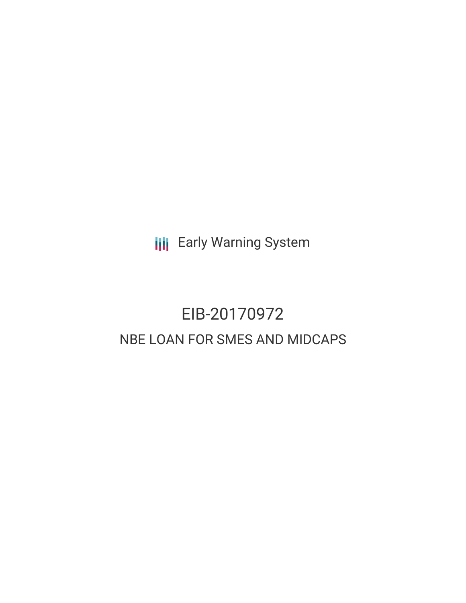**III** Early Warning System

# EIB-20170972 NBE LOAN FOR SMES AND MIDCAPS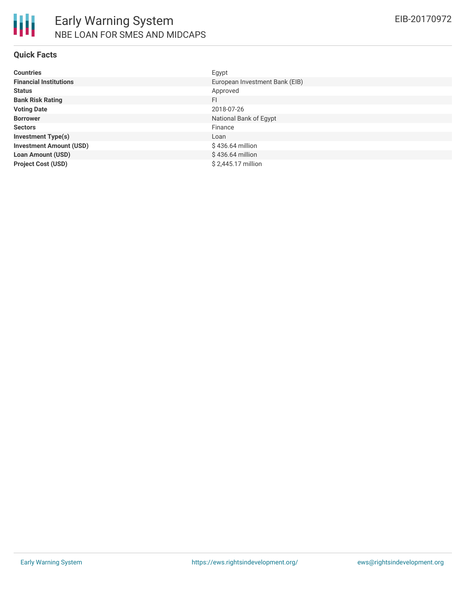

### **Quick Facts**

| <b>Countries</b>               | Egypt                          |
|--------------------------------|--------------------------------|
| <b>Financial Institutions</b>  | European Investment Bank (EIB) |
| <b>Status</b>                  | Approved                       |
| <b>Bank Risk Rating</b>        | FI                             |
| <b>Voting Date</b>             | 2018-07-26                     |
| <b>Borrower</b>                | National Bank of Eqypt         |
| <b>Sectors</b>                 | Finance                        |
| <b>Investment Type(s)</b>      | Loan                           |
| <b>Investment Amount (USD)</b> | \$436.64 million               |
| <b>Loan Amount (USD)</b>       | \$436.64 million               |
| <b>Project Cost (USD)</b>      | \$2,445.17 million             |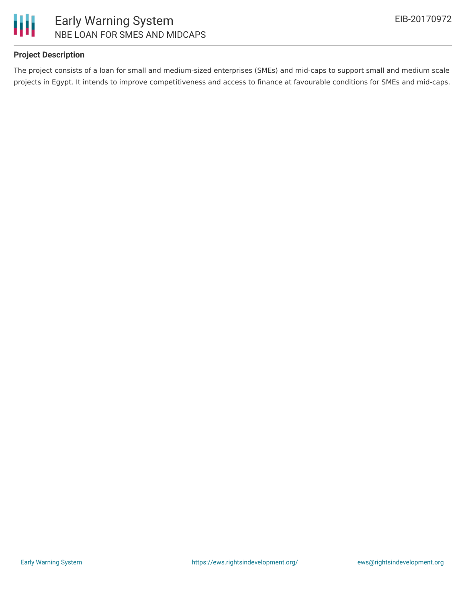

#### **Project Description**

The project consists of a loan for small and medium-sized enterprises (SMEs) and mid-caps to support small and medium scale projects in Egypt. It intends to improve competitiveness and access to finance at favourable conditions for SMEs and mid-caps.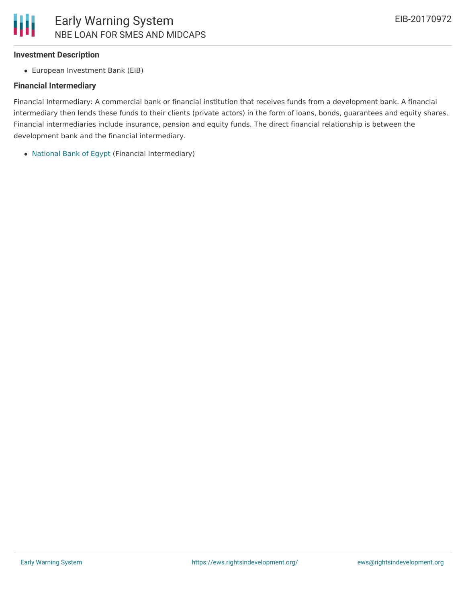### **Investment Description**

European Investment Bank (EIB)

#### **Financial Intermediary**

Financial Intermediary: A commercial bank or financial institution that receives funds from a development bank. A financial intermediary then lends these funds to their clients (private actors) in the form of loans, bonds, guarantees and equity shares. Financial intermediaries include insurance, pension and equity funds. The direct financial relationship is between the development bank and the financial intermediary.

[National](file:///actor/1172/) Bank of Egypt (Financial Intermediary)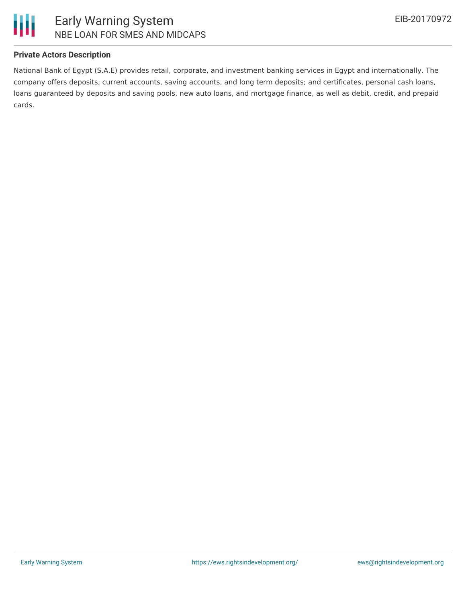

## **Private Actors Description**

National Bank of Egypt (S.A.E) provides retail, corporate, and investment banking services in Egypt and internationally. The company offers deposits, current accounts, saving accounts, and long term deposits; and certificates, personal cash loans, loans guaranteed by deposits and saving pools, new auto loans, and mortgage finance, as well as debit, credit, and prepaid cards.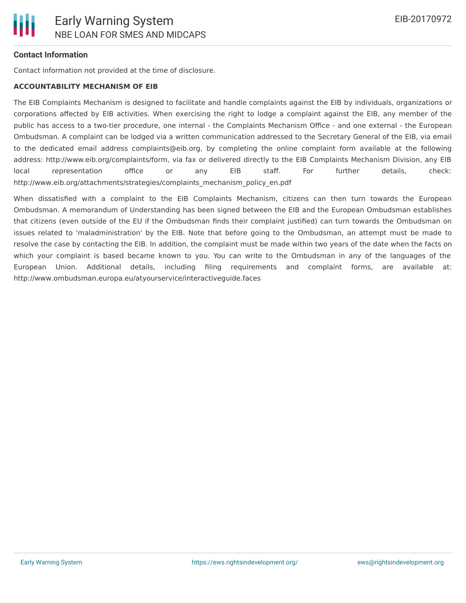### **Contact Information**

Contact information not provided at the time of disclosure.

#### **ACCOUNTABILITY MECHANISM OF EIB**

The EIB Complaints Mechanism is designed to facilitate and handle complaints against the EIB by individuals, organizations or corporations affected by EIB activities. When exercising the right to lodge a complaint against the EIB, any member of the public has access to a two-tier procedure, one internal - the Complaints Mechanism Office - and one external - the European Ombudsman. A complaint can be lodged via a written communication addressed to the Secretary General of the EIB, via email to the dedicated email address complaints@eib.org, by completing the online complaint form available at the following address: http://www.eib.org/complaints/form, via fax or delivered directly to the EIB Complaints Mechanism Division, any EIB local representation office or any EIB staff. For further details, check: http://www.eib.org/attachments/strategies/complaints\_mechanism\_policy\_en.pdf

When dissatisfied with a complaint to the EIB Complaints Mechanism, citizens can then turn towards the European Ombudsman. A memorandum of Understanding has been signed between the EIB and the European Ombudsman establishes that citizens (even outside of the EU if the Ombudsman finds their complaint justified) can turn towards the Ombudsman on issues related to 'maladministration' by the EIB. Note that before going to the Ombudsman, an attempt must be made to resolve the case by contacting the EIB. In addition, the complaint must be made within two years of the date when the facts on which your complaint is based became known to you. You can write to the Ombudsman in any of the languages of the European Union. Additional details, including filing requirements and complaint forms, are available at: http://www.ombudsman.europa.eu/atyourservice/interactiveguide.faces